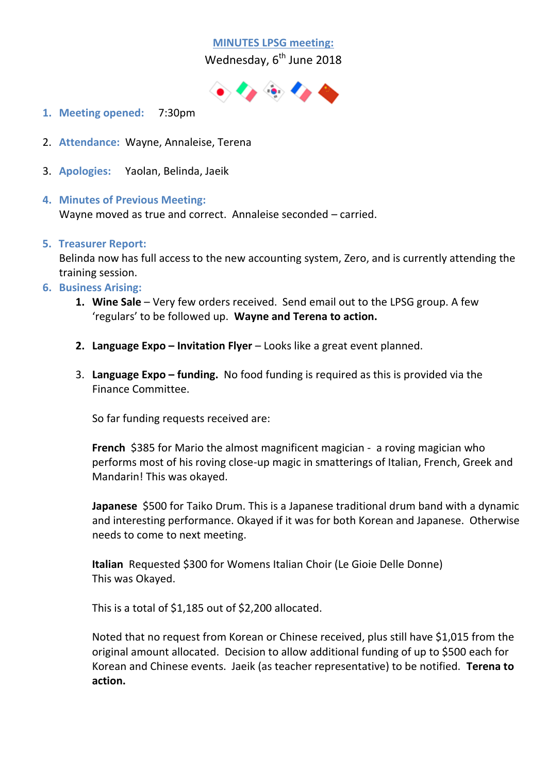# **MINUTES LPSG meeting:**

Wednesday, 6<sup>th</sup> June 2018



- **1. Meeting opened:** 7:30pm
- 2. **Attendance:** Wayne, Annaleise, Terena
- 3. **Apologies:** Yaolan, Belinda, Jaeik
- **4. Minutes of Previous Meeting:**

Wayne moved as true and correct. Annaleise seconded – carried.

#### **5. Treasurer Report:**

Belinda now has full access to the new accounting system, Zero, and is currently attending the training session.

- **6. Business Arising:**
	- **1. Wine Sale** Very few orders received. Send email out to the LPSG group. A few 'regulars' to be followed up. **Wayne and Terena to action.**
	- **2. Language Expo – Invitation Flyer** Looks like a great event planned.
	- 3. **Language Expo – funding.** No food funding is required as this is provided via the Finance Committee.

So far funding requests received are:

**French** \$385 for Mario the almost magnificent magician - a roving magician who performs most of his roving close-up magic in smatterings of Italian, French, Greek and Mandarin! This was okayed.

**Japanese** \$500 for Taiko Drum. This is a Japanese traditional drum band with a dynamic and interesting performance. Okayed if it was for both Korean and Japanese. Otherwise needs to come to next meeting.

**Italian** Requested \$300 for Womens Italian Choir (Le Gioie Delle Donne) This was Okayed.

This is a total of \$1,185 out of \$2,200 allocated.

Noted that no request from Korean or Chinese received, plus still have \$1,015 from the original amount allocated. Decision to allow additional funding of up to \$500 each for Korean and Chinese events. Jaeik (as teacher representative) to be notified. **Terena to action.**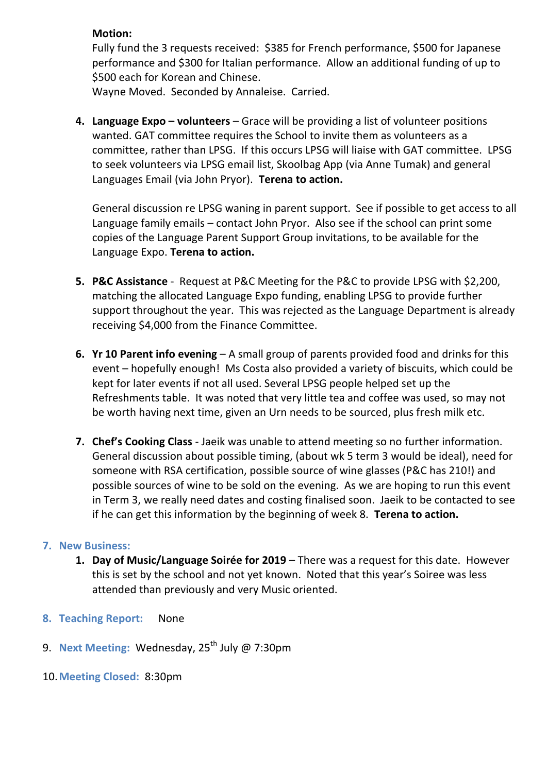#### **Motion:**

Fully fund the 3 requests received: \$385 for French performance, \$500 for Japanese performance and \$300 for Italian performance. Allow an additional funding of up to \$500 each for Korean and Chinese.

Wayne Moved. Seconded by Annaleise. Carried.

**4. Language Expo – volunteers** – Grace will be providing a list of volunteer positions wanted. GAT committee requires the School to invite them as volunteers as a committee, rather than LPSG. If this occurs LPSG will liaise with GAT committee. LPSG to seek volunteers via LPSG email list, Skoolbag App (via Anne Tumak) and general Languages Email (via John Pryor). **Terena to action.**

General discussion re LPSG waning in parent support. See if possible to get access to all Language family emails – contact John Pryor. Also see if the school can print some copies of the Language Parent Support Group invitations, to be available for the Language Expo. **Terena to action.**

- **5. P&C Assistance** Request at P&C Meeting for the P&C to provide LPSG with \$2,200, matching the allocated Language Expo funding, enabling LPSG to provide further support throughout the year. This was rejected as the Language Department is already receiving \$4,000 from the Finance Committee.
- **6. Yr 10 Parent info evening** A small group of parents provided food and drinks for this event – hopefully enough! Ms Costa also provided a variety of biscuits, which could be kept for later events if not all used. Several LPSG people helped set up the Refreshments table. It was noted that very little tea and coffee was used, so may not be worth having next time, given an Urn needs to be sourced, plus fresh milk etc.
- **7. Chef's Cooking Class** Jaeik was unable to attend meeting so no further information. General discussion about possible timing, (about wk 5 term 3 would be ideal), need for someone with RSA certification, possible source of wine glasses (P&C has 210!) and possible sources of wine to be sold on the evening. As we are hoping to run this event in Term 3, we really need dates and costing finalised soon. Jaeik to be contacted to see if he can get this information by the beginning of week 8. **Terena to action.**

## **7. New Business:**

- **1. Day of Music/Language Soirée for 2019** There was a request for this date. However this is set by the school and not yet known. Noted that this year's Soiree was less attended than previously and very Music oriented.
- **8. Teaching Report:** None
- 9. **Next Meeting: Wednesday, 25<sup>th</sup> July @ 7:30pm**
- 10.**Meeting Closed:** 8:30pm